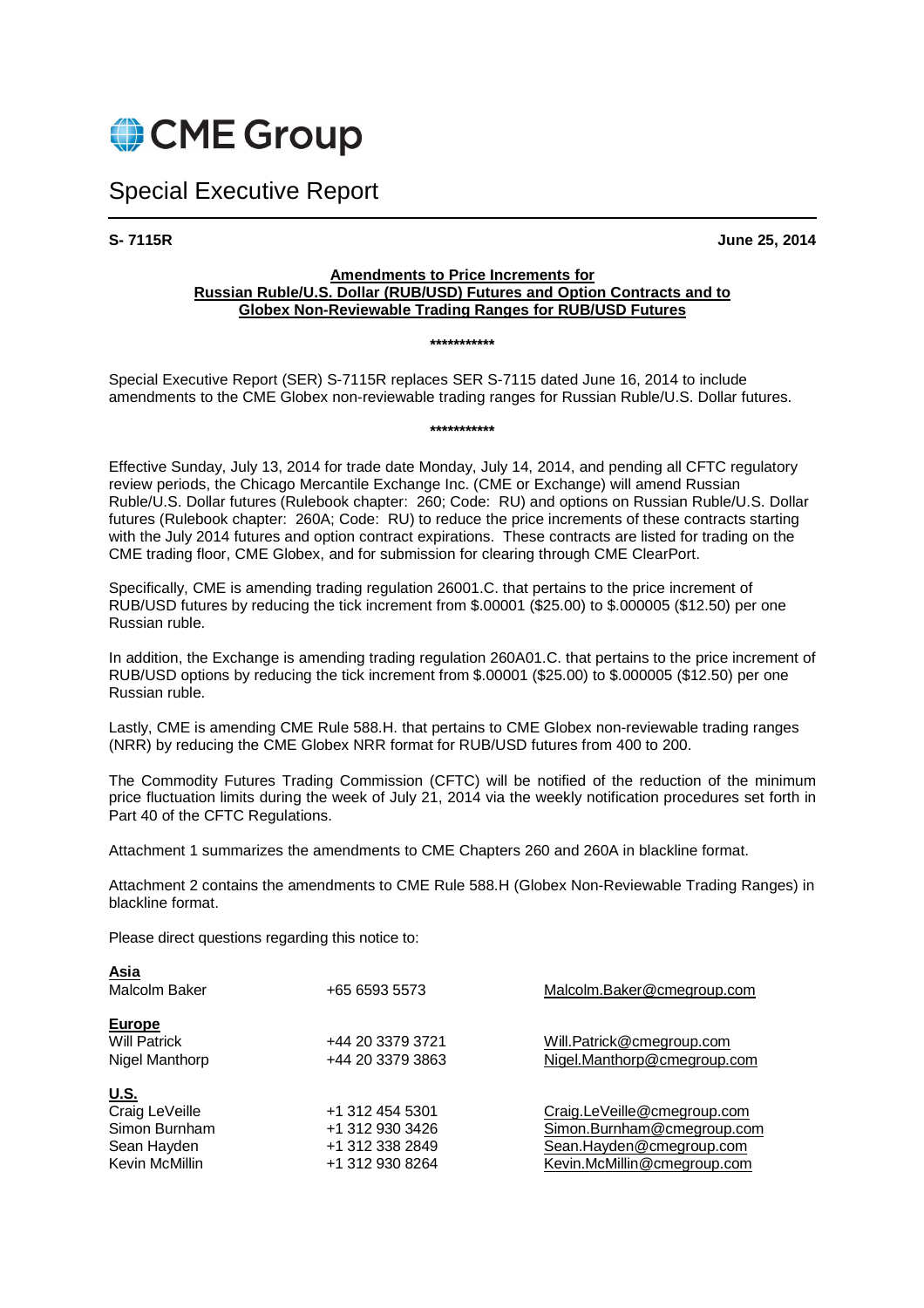

# Special Executive Report

**S- 7115R June 25, 2014** 

#### **Amendments to Price Increments for Russian Ruble/U.S. Dollar (RUB/USD) Futures and Option Contracts and to Globex Non-Reviewable Trading Ranges for RUB/USD Futures**

#### **\*\*\*\*\*\*\*\*\*\*\***

Special Executive Report (SER) S-7115R replaces SER S-7115 dated June 16, 2014 to include amendments to the CME Globex non-reviewable trading ranges for Russian Ruble/U.S. Dollar futures.

**\*\*\*\*\*\*\*\*\*\*\*** 

Effective Sunday, July 13, 2014 for trade date Monday, July 14, 2014, and pending all CFTC regulatory review periods, the Chicago Mercantile Exchange Inc. (CME or Exchange) will amend Russian Ruble/U.S. Dollar futures (Rulebook chapter: 260; Code: RU) and options on Russian Ruble/U.S. Dollar futures (Rulebook chapter: 260A; Code: RU) to reduce the price increments of these contracts starting with the July 2014 futures and option contract expirations. These contracts are listed for trading on the CME trading floor, CME Globex, and for submission for clearing through CME ClearPort.

Specifically, CME is amending trading regulation 26001.C. that pertains to the price increment of RUB/USD futures by reducing the tick increment from \$.00001 (\$25.00) to \$.000005 (\$12.50) per one Russian ruble.

In addition, the Exchange is amending trading regulation 260A01.C. that pertains to the price increment of RUB/USD options by reducing the tick increment from \$.00001 (\$25.00) to \$.000005 (\$12.50) per one Russian ruble.

Lastly, CME is amending CME Rule 588.H. that pertains to CME Globex non-reviewable trading ranges (NRR) by reducing the CME Globex NRR format for RUB/USD futures from 400 to 200.

The Commodity Futures Trading Commission (CFTC) will be notified of the reduction of the minimum price fluctuation limits during the week of July 21, 2014 via the weekly notification procedures set forth in Part 40 of the CFTC Regulations.

Attachment 1 summarizes the amendments to CME Chapters 260 and 260A in blackline format.

Attachment 2 contains the amendments to CME Rule 588.H (Globex Non-Reviewable Trading Ranges) in blackline format.

Please direct questions regarding this notice to:

| <b>Asia</b><br>Malcolm Baker                                                    | +65 6593 5573                                                            | Malcolm.Baker@cmegroup.com                                                                                           |
|---------------------------------------------------------------------------------|--------------------------------------------------------------------------|----------------------------------------------------------------------------------------------------------------------|
| Europe<br><b>Will Patrick</b><br>Nigel Manthorp                                 | +44 20 3379 3721<br>+44 20 3379 3863                                     | Will.Patrick@cmegroup.com<br>Nigel.Manthorp@cmegroup.com                                                             |
| <u>U.S.</u><br>Craig LeVeille<br>Simon Burnham<br>Sean Hayden<br>Kevin McMillin | +1 312 454 5301<br>+1 312 930 3426<br>+1 312 338 2849<br>+1 312 930 8264 | Craig.LeVeille@cmegroup.com<br>Simon.Burnham@cmegroup.com<br>Sean.Hayden@cmegroup.com<br>Kevin.McMillin@cmegroup.com |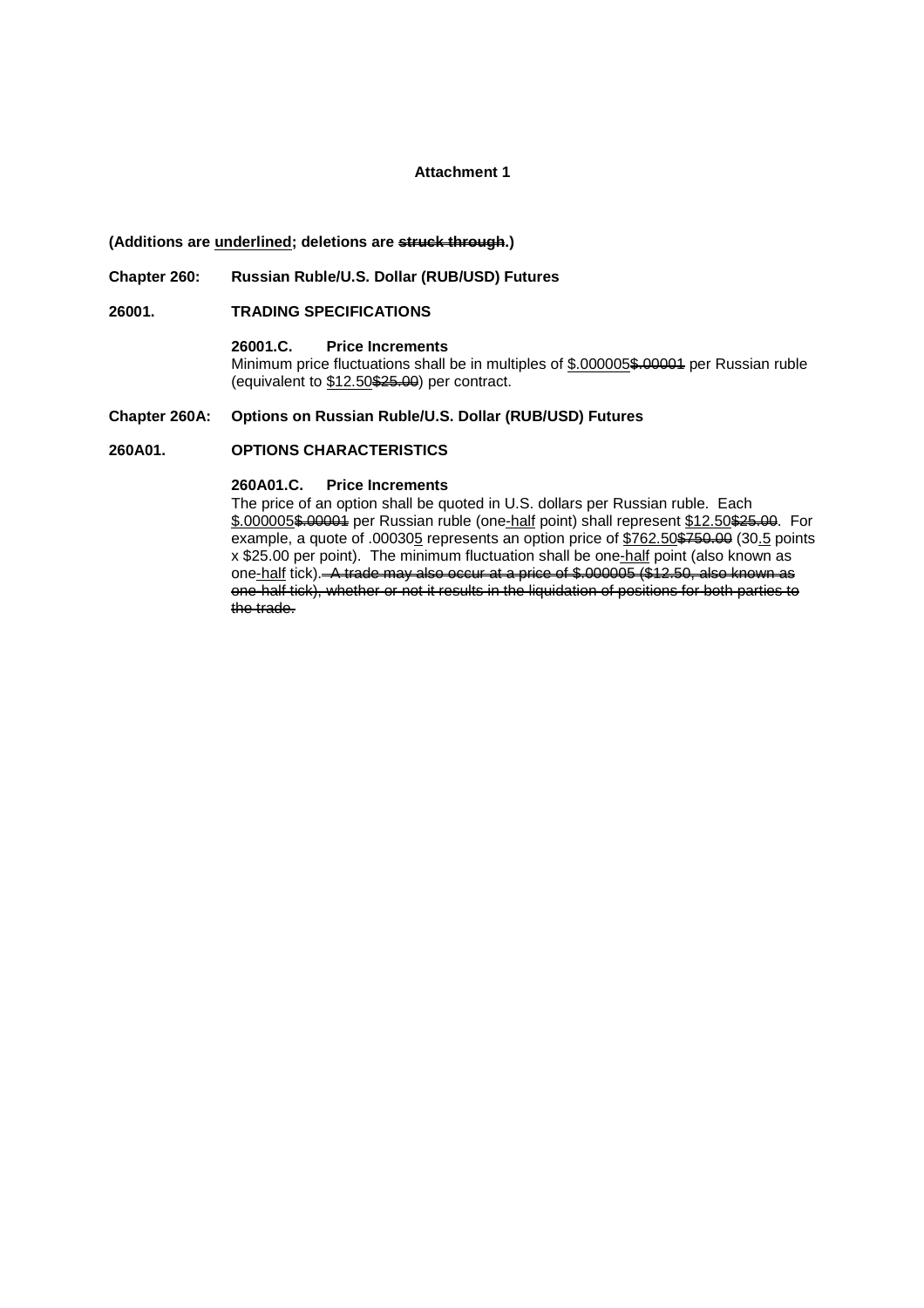#### **Attachment 1**

#### **(Additions are underlined; deletions are struck through.)**

#### **Chapter 260: Russian Ruble/U.S. Dollar (RUB/USD) Futures**

### **26001. TRADING SPECIFICATIONS**

 **26001.C. Price Increments** Minimum price fluctuations shall be in multiples of \$.000005\$.00004 per Russian ruble (equivalent to \$12.50\$25.00) per contract.

#### **Chapter 260A: Options on Russian Ruble/U.S. Dollar (RUB/USD) Futures**

#### **260A01. OPTIONS CHARACTERISTICS**

### **260A01.C. Price Increments**

 The price of an option shall be quoted in U.S. dollars per Russian ruble. Each \$.000005\$.00004 per Russian ruble (one-half point) shall represent \$12.50\$25.00. For example, a quote of .000305 represents an option price of \$762.50\$760.00 (30.5 points x \$25.00 per point). The minimum fluctuation shall be one-half point (also known as one-half tick). A trade may also occur at a price of \$.000005 (\$12.50, also known as one-half tick), whether or not it results in the liquidation of positions for both parties to the trade.